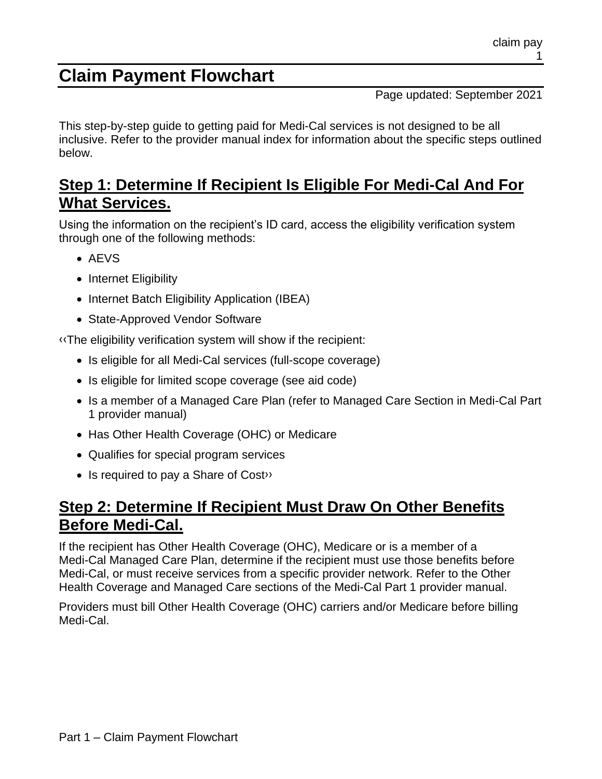# **Claim Payment Flowchart**

Page updated: September 2021

This step-by-step guide to getting paid for Medi-Cal services is not designed to be all inclusive. Refer to the provider manual index for information about the specific steps outlined below.

# **Step 1: Determine If Recipient Is Eligible For Medi-Cal And For What Services.**

Using the information on the recipient's ID card, access the eligibility verification system through one of the following methods:

- AEVS
- Internet Eligibility
- Internet Batch Eligibility Application (IBEA)
- State-Approved Vendor Software

[‹‹T](#page-3-0)he eligibility verification system will show if the recipient:

- Is eligible for all Medi-Cal services (full-scope coverage)
- Is eligible for limited scope coverage (see aid code)
- Is a member of a Managed Care Plan (refer to Managed Care Section in Medi-Cal Part 1 provider manual)
- Has Other Health Coverage (OHC) or Medicare
- Qualifies for special program services
- Is required to pay a Share of Cost»

### **Step 2: Determine If Recipient Must Draw On Other Benefits Before Medi-Cal.**

If the recipient has Other Health Coverage (OHC), Medicare or is a member of a Medi-Cal Managed Care Plan, determine if the recipient must use those benefits before Medi-Cal, or must receive services from a specific provider network. Refer to the Other Health Coverage and Managed Care sections of the Medi-Cal Part 1 provider manual.

Providers must bill Other Health Coverage (OHC) carriers and/or Medicare before billing Medi-Cal.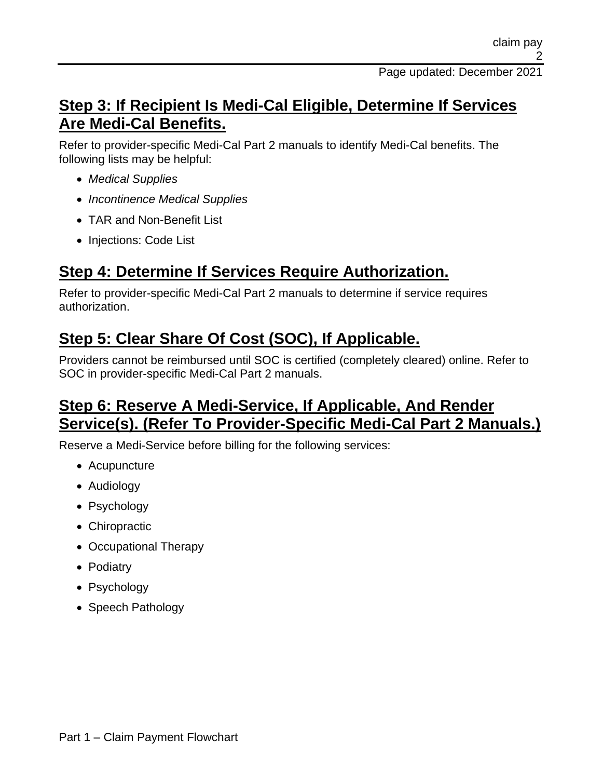#### **Step 3: If Recipient Is Medi-Cal Eligible, Determine If Services Are Medi-Cal Benefits.**

Refer to provider-specific Medi-Cal Part 2 manuals to identify Medi-Cal benefits. The following lists may be helpful:

- *Medical Supplies*
- *Incontinence Medical Supplies*
- TAR and Non-Benefit List
- Injections: Code List

# **Step 4: Determine If Services Require Authorization.**

Refer to provider-specific Medi-Cal Part 2 manuals to determine if service requires authorization.

# **Step 5: Clear Share Of Cost (SOC), If Applicable.**

Providers cannot be reimbursed until SOC is certified (completely cleared) online. Refer to SOC in provider-specific Medi-Cal Part 2 manuals.

### **Step 6: Reserve A Medi-Service, If Applicable, And Render Service(s). (Refer To Provider-Specific Medi-Cal Part 2 Manuals.)**

Reserve a Medi-Service before billing for the following services:

- Acupuncture
- Audiology
- Psychology
- Chiropractic
- Occupational Therapy
- Podiatry
- Psychology
- Speech Pathology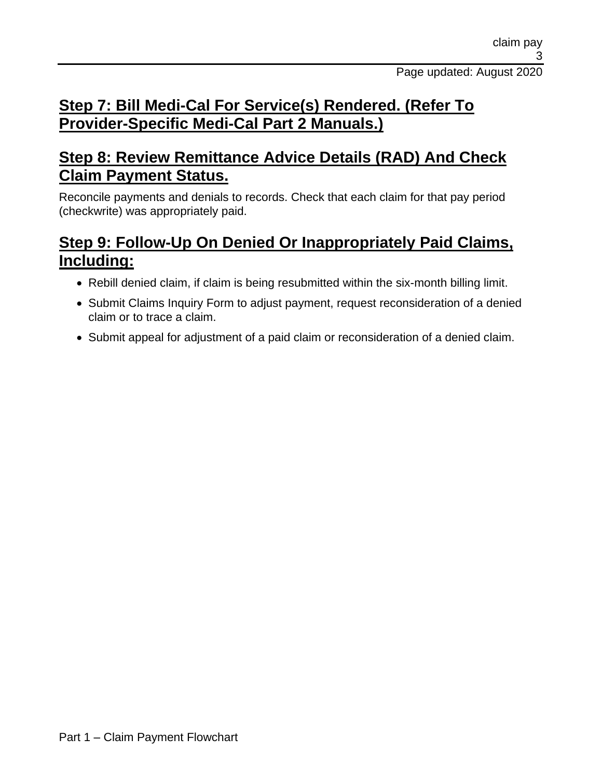## **Step 7: Bill Medi-Cal For Service(s) Rendered. (Refer To Provider-Specific Medi-Cal Part 2 Manuals.)**

#### **Step 8: Review Remittance Advice Details (RAD) And Check Claim Payment Status.**

Reconcile payments and denials to records. Check that each claim for that pay period (checkwrite) was appropriately paid.

# **Step 9: Follow-Up On Denied Or Inappropriately Paid Claims, Including:**

- Rebill denied claim, if claim is being resubmitted within the six-month billing limit.
- Submit Claims Inquiry Form to adjust payment, request reconsideration of a denied claim or to trace a claim.
- Submit appeal for adjustment of a paid claim or reconsideration of a denied claim.